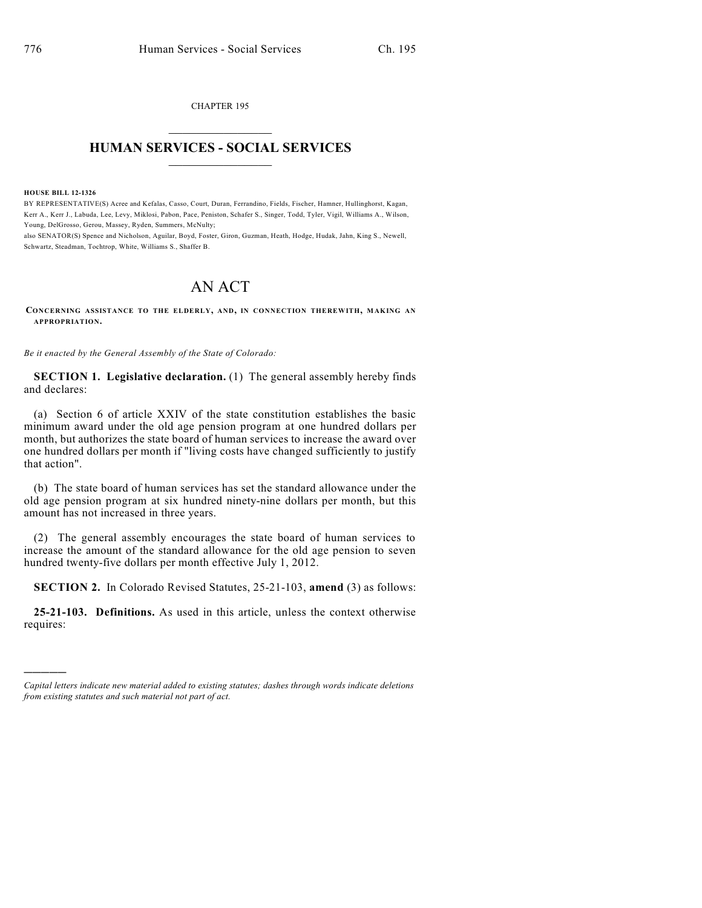CHAPTER 195  $\overline{\phantom{a}}$  . The set of the set of the set of the set of the set of the set of the set of the set of the set of the set of the set of the set of the set of the set of the set of the set of the set of the set of the set o

## **HUMAN SERVICES - SOCIAL SERVICES**  $\frac{1}{2}$  ,  $\frac{1}{2}$  ,  $\frac{1}{2}$  ,  $\frac{1}{2}$  ,  $\frac{1}{2}$  ,  $\frac{1}{2}$  ,  $\frac{1}{2}$

**HOUSE BILL 12-1326**

)))))

BY REPRESENTATIVE(S) Acree and Kefalas, Casso, Court, Duran, Ferrandino, Fields, Fischer, Hamner, Hullinghorst, Kagan, Kerr A., Kerr J., Labuda, Lee, Levy, Miklosi, Pabon, Pace, Peniston, Schafer S., Singer, Todd, Tyler, Vigil, Williams A., Wilson, Young, DelGrosso, Gerou, Massey, Ryden, Summers, McNulty;

also SENATOR(S) Spence and Nicholson, Aguilar, Boyd, Foster, Giron, Guzman, Heath, Hodge, Hudak, Jahn, King S., Newell, Schwartz, Steadman, Tochtrop, White, Williams S., Shaffer B.

## AN ACT

**CONCERNING ASSISTANCE TO THE ELDERLY, AND, IN CONNECTION THEREWITH, MAKING AN APPROPRIATION.**

*Be it enacted by the General Assembly of the State of Colorado:*

**SECTION 1. Legislative declaration.** (1) The general assembly hereby finds and declares:

(a) Section 6 of article XXIV of the state constitution establishes the basic minimum award under the old age pension program at one hundred dollars per month, but authorizes the state board of human services to increase the award over one hundred dollars per month if "living costs have changed sufficiently to justify that action".

(b) The state board of human services has set the standard allowance under the old age pension program at six hundred ninety-nine dollars per month, but this amount has not increased in three years.

(2) The general assembly encourages the state board of human services to increase the amount of the standard allowance for the old age pension to seven hundred twenty-five dollars per month effective July 1, 2012.

**SECTION 2.** In Colorado Revised Statutes, 25-21-103, **amend** (3) as follows:

**25-21-103. Definitions.** As used in this article, unless the context otherwise requires:

*Capital letters indicate new material added to existing statutes; dashes through words indicate deletions from existing statutes and such material not part of act.*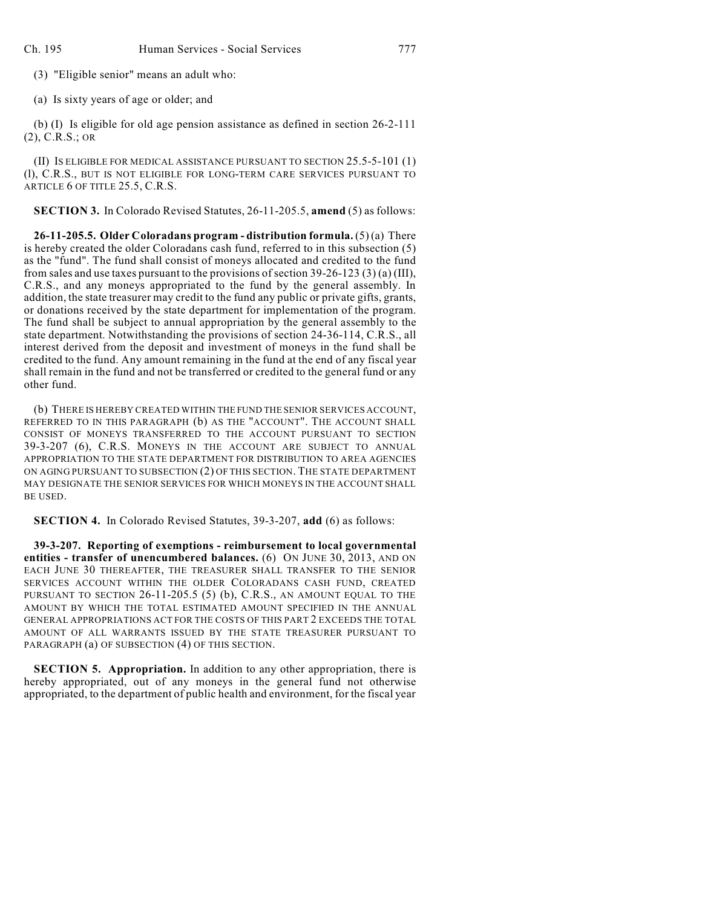(3) "Eligible senior" means an adult who:

(a) Is sixty years of age or older; and

(b) (I) Is eligible for old age pension assistance as defined in section 26-2-111 (2), C.R.S.; OR

(II) IS ELIGIBLE FOR MEDICAL ASSISTANCE PURSUANT TO SECTION 25.5-5-101 (1) (l), C.R.S., BUT IS NOT ELIGIBLE FOR LONG-TERM CARE SERVICES PURSUANT TO ARTICLE 6 OF TITLE 25.5, C.R.S.

**SECTION 3.** In Colorado Revised Statutes, 26-11-205.5, **amend** (5) as follows:

**26-11-205.5. Older Coloradans program - distribution formula.** (5) (a) There is hereby created the older Coloradans cash fund, referred to in this subsection (5) as the "fund". The fund shall consist of moneys allocated and credited to the fund from sales and use taxes pursuant to the provisions of section 39-26-123 (3) (a) (III), C.R.S., and any moneys appropriated to the fund by the general assembly. In addition, the state treasurer may credit to the fund any public or private gifts, grants, or donations received by the state department for implementation of the program. The fund shall be subject to annual appropriation by the general assembly to the state department. Notwithstanding the provisions of section 24-36-114, C.R.S., all interest derived from the deposit and investment of moneys in the fund shall be credited to the fund. Any amount remaining in the fund at the end of any fiscal year shall remain in the fund and not be transferred or credited to the general fund or any other fund.

(b) THERE IS HEREBY CREATED WITHIN THE FUND THE SENIOR SERVICES ACCOUNT, REFERRED TO IN THIS PARAGRAPH (b) AS THE "ACCOUNT". THE ACCOUNT SHALL CONSIST OF MONEYS TRANSFERRED TO THE ACCOUNT PURSUANT TO SECTION 39-3-207 (6), C.R.S. MONEYS IN THE ACCOUNT ARE SUBJECT TO ANNUAL APPROPRIATION TO THE STATE DEPARTMENT FOR DISTRIBUTION TO AREA AGENCIES ON AGING PURSUANT TO SUBSECTION (2) OF THIS SECTION. THE STATE DEPARTMENT MAY DESIGNATE THE SENIOR SERVICES FOR WHICH MONEYS IN THE ACCOUNT SHALL BE USED.

**SECTION 4.** In Colorado Revised Statutes, 39-3-207, **add** (6) as follows:

**39-3-207. Reporting of exemptions - reimbursement to local governmental entities - transfer of unencumbered balances.** (6) ON JUNE 30, 2013, AND ON EACH JUNE 30 THEREAFTER, THE TREASURER SHALL TRANSFER TO THE SENIOR SERVICES ACCOUNT WITHIN THE OLDER COLORADANS CASH FUND, CREATED PURSUANT TO SECTION 26-11-205.5 (5) (b), C.R.S., AN AMOUNT EQUAL TO THE AMOUNT BY WHICH THE TOTAL ESTIMATED AMOUNT SPECIFIED IN THE ANNUAL GENERAL APPROPRIATIONS ACT FOR THE COSTS OF THIS PART 2 EXCEEDS THE TOTAL AMOUNT OF ALL WARRANTS ISSUED BY THE STATE TREASURER PURSUANT TO PARAGRAPH (a) OF SUBSECTION (4) OF THIS SECTION.

**SECTION 5. Appropriation.** In addition to any other appropriation, there is hereby appropriated, out of any moneys in the general fund not otherwise appropriated, to the department of public health and environment, for the fiscal year